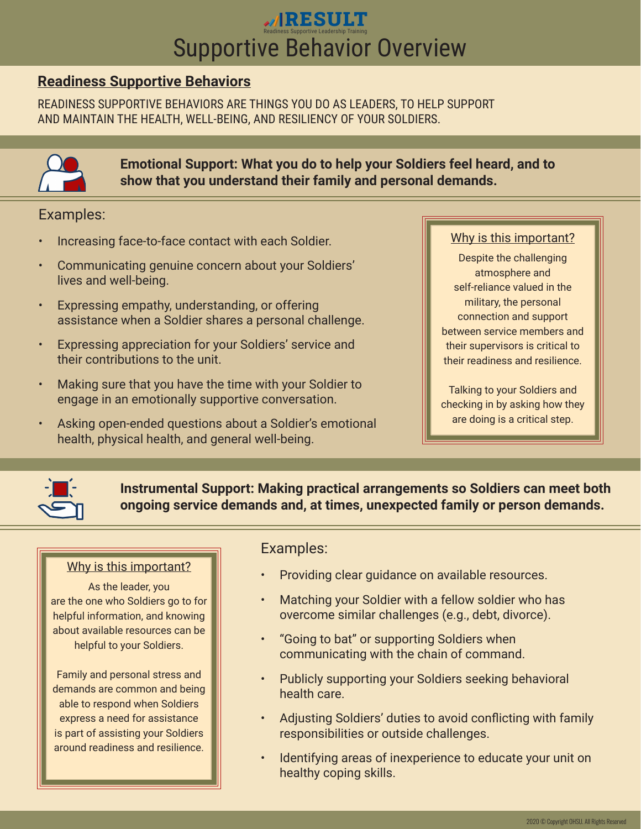# **RESULT**<br>
Readiness Supportive Leadership Training<br>
Supportive Behavior Overview

## **Readiness Supportive Behaviors**

READINESS SUPPORTIVE BEHAVIORS ARE THINGS YOU DO AS LEADERS, TO HELP SUPPORT AND MAINTAIN THE HEALTH, WELL-BEING, AND RESILIENCY OF YOUR SOLDIERS.



**Emotional Support: What you do to help your Soldiers feel heard, and to show that you understand their family and personal demands.**

## Examples:

- Increasing face-to-face contact with each Soldier.
- Communicating genuine concern about your Soldiers' lives and well-being.
- Expressing empathy, understanding, or offering assistance when a Soldier shares a personal challenge.
- Expressing appreciation for your Soldiers' service and their contributions to the unit.
- Making sure that you have the time with your Soldier to engage in an emotionally supportive conversation.
- Asking open-ended questions about a Soldier's emotional health, physical health, and general well-being.

### Why is this important?

Despite the challenging atmosphere and self-reliance valued in the military, the personal connection and support between service members and their supervisors is critical to their readiness and resilience.

Talking to your Soldiers and checking in by asking how they are doing is a critical step.



**Instrumental Support: Making practical arrangements so Soldiers can meet both ongoing service demands and, at times, unexpected family or person demands.**

### Why is this important?

As the leader, you are the one who Soldiers go to for helpful information, and knowing about available resources can be helpful to your Soldiers.

Family and personal stress and demands are common and being able to respond when Soldiers express a need for assistance is part of assisting your Soldiers around readiness and resilience.

## Examples:

- Providing clear guidance on available resources.
- Matching your Soldier with a fellow soldier who has overcome similar challenges (e.g., debt, divorce).
- "Going to bat" or supporting Soldiers when communicating with the chain of command.
- Publicly supporting your Soldiers seeking behavioral health care.
- Adjusting Soldiers' duties to avoid conflicting with family responsibilities or outside challenges.
- Identifying areas of inexperience to educate your unit on healthy coping skills.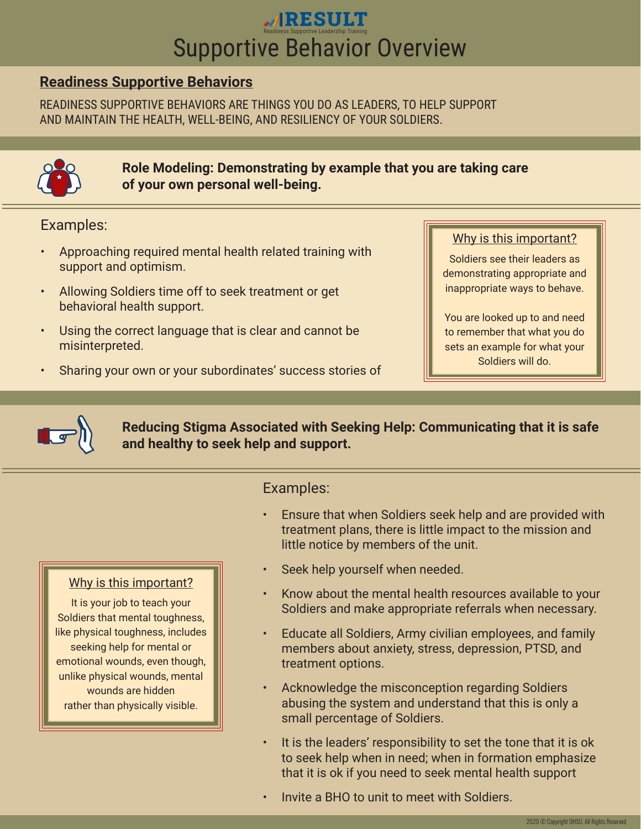# **RESULT**<br>
Readiness Supportive Leadership Training<br>
Supportive Behavior Overview

# **Readiness Supportive Behaviors**

READINESS SUPPORTIVE BEHAVIORS ARE THINGS YOU DO AS LEADERS, TO HELP SUPPORT AND MAINTAIN THE HEALTH, WELL-BEING, AND RESILIENCY OF YOUR SOLDIERS.



**Role Modeling: Demonstrating by example that you are taking care of your own personal well-being.**

Examples:

- Approaching required mental health related training with support and optimism.
- Allowing Soldiers time off to seek treatment or get behavioral health support.
- Using the correct language that is clear and cannot be misinterpreted.
- Sharing your own or your subordinates' success stories of

## Why is this important?

Soldiers see their leaders as demonstrating appropriate and inappropriate ways to behave.

You are looked up to and need to remember that what you do sets an example for what your Soldiers will do.



Why is this important? It is your job to teach your Soldiers that mental toughness, like physical toughness, includes seeking help for mental or emotional wounds, even though, unlike physical wounds, mental wounds are hidden rather than physically visible.

**Reducing Stigma Associated with Seeking Help: Communicating that it is safe and healthy to seek help and support.**

## Examples:

- Ensure that when Soldiers seek help and are provided with treatment plans, there is little impact to the mission and little notice by members of the unit.
- Seek help yourself when needed.
- Know about the mental health resources available to your Soldiers and make appropriate referrals when necessary.
- Educate all Soldiers, Army civilian employees, and family members about anxiety, stress, depression, PTSD, and treatment options.
- Acknowledge the misconception regarding Soldiers abusing the system and understand that this is only a small percentage of Soldiers.
- It is the leaders' responsibility to set the tone that it is ok to seek help when in need; when in formation emphasize that it is ok if you need to seek mental health support
- Invite a BHO to unit to meet with Soldiers.